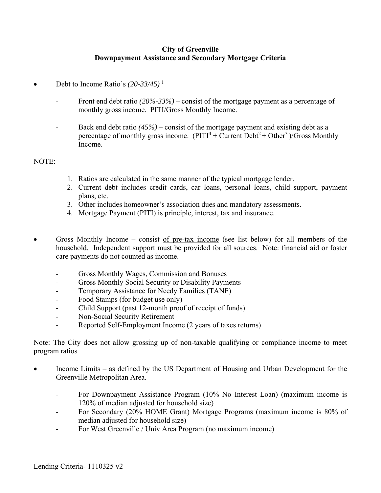## **City of Greenville Downpayment Assistance and Secondary Mortgage Criteria**

- Debt to Income Ratio's  $(20-33/45)^{-1}$ 
	- Front end debt ratio *(20%-33%)* consist of the mortgage payment as a percentage of monthly gross income. PITI/Gross Monthly Income.
	- Back end debt ratio *(45%)* consist of the mortgage payment and existing debt as a percentage of monthly gross income.  $(PITI^4 + Current \nDebt^2 + Other^3)/Gross \nMonthly$ Income.

## NOTE:

- 1. Ratios are calculated in the same manner of the typical mortgage lender.
- 2. Current debt includes credit cards, car loans, personal loans, child support, payment plans, etc.
- 3. Other includes homeowner's association dues and mandatory assessments.
- 4. Mortgage Payment (PITI) is principle, interest, tax and insurance.
- Gross Monthly Income consist of pre-tax income (see list below) for all members of the household. Independent support must be provided for all sources. Note: financial aid or foster care payments do not counted as income.
	- Gross Monthly Wages, Commission and Bonuses
	- Gross Monthly Social Security or Disability Payments
	- Temporary Assistance for Needy Families (TANF)
	- Food Stamps (for budget use only)
	- Child Support (past 12-month proof of receipt of funds)
	- Non-Social Security Retirement
	- Reported Self-Employment Income (2 years of taxes returns)

Note: The City does not allow grossing up of non-taxable qualifying or compliance income to meet program ratios

- Income Limits as defined by the US Department of Housing and Urban Development for the Greenville Metropolitan Area.
	- For Downpayment Assistance Program (10% No Interest Loan) (maximum income is 120% of median adjusted for household size)
	- For Secondary (20% HOME Grant) Mortgage Programs (maximum income is 80% of median adjusted for household size)
	- For West Greenville / Univ Area Program (no maximum income)